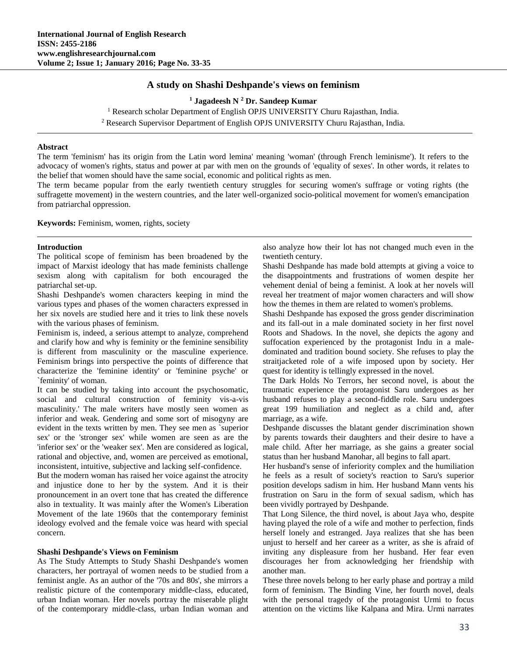# **A study on Shashi Deshpande's views on feminism**

**<sup>1</sup> Jagadeesh N <sup>2</sup> Dr. Sandeep Kumar**

<sup>1</sup> Research scholar Department of English OPJS UNIVERSITY Churu Rajasthan, India. <sup>2</sup> Research Supervisor Department of English OPJS UNIVERSITY Churu Rajasthan, India.

**Abstract**

The term 'feminism' has its origin from the Latin word lemina' meaning 'woman' (through French leminisme'). It refers to the advocacy of women's rights, status and power at par with men on the grounds of 'equality of sexes'. In other words, it relates to the belief that women should have the same social, economic and political rights as men.

The term became popular from the early twentieth century struggles for securing women's suffrage or voting rights (the suffragette movement) in the western countries, and the later well-organized socio-political movement for women's emancipation from patriarchal oppression.

**Keywords:** Feminism, women, rights, society

#### **Introduction**

The political scope of feminism has been broadened by the impact of Marxist ideology that has made feminists challenge sexism along with capitalism for both encouraged the patriarchal set-up.

Shashi Deshpande's women characters keeping in mind the various types and phases of the women characters expressed in her six novels are studied here and it tries to link these novels with the various phases of feminism.

Feminism is, indeed, a serious attempt to analyze, comprehend and clarify how and why is feminity or the feminine sensibility is different from masculinity or the masculine experience. Feminism brings into perspective the points of difference that characterize the 'feminine identity' or 'feminine psyche' or `feminity' of woman.

It can be studied by taking into account the psychosomatic, social and cultural construction of feminity vis-a-vis masculinity.' The male writers have mostly seen women as inferior and weak. Gendering and some sort of misogyny are evident in the texts written by men. They see men as `superior sex' or the 'stronger sex' while women are seen as are the 'inferior sex' or the 'weaker sex'. Men are considered as logical, rational and objective, and, women are perceived as emotional, inconsistent, intuitive, subjective and lacking self-confidence.

But the modern woman has raised her voice against the atrocity and injustice done to her by the system. And it is their pronouncement in an overt tone that has created the difference also in textuality. It was mainly after the Women's Liberation Movement of the late 1960s that the contemporary feminist ideology evolved and the female voice was heard with special concern.

### **Shashi Deshpande's Views on Feminism**

As The Study Attempts to Study Shashi Deshpande's women characters, her portrayal of women needs to be studied from a feminist angle. As an author of the '70s and 80s', she mirrors a realistic picture of the contemporary middle-class, educated, urban Indian woman. Her novels portray the miserable plight of the contemporary middle-class, urban Indian woman and

also analyze how their lot has not changed much even in the twentieth century.

Shashi Deshpande has made bold attempts at giving a voice to the disappointments and frustrations of women despite her vehement denial of being a feminist. A look at her novels will reveal her treatment of major women characters and will show how the themes in them are related to women's problems.

Shashi Deshpande has exposed the gross gender discrimination and its fall-out in a male dominated society in her first novel Roots and Shadows. In the novel, she depicts the agony and suffocation experienced by the protagonist Indu in a maledominated and tradition bound society. She refuses to play the straitjacketed role of a wife imposed upon by society. Her quest for identity is tellingly expressed in the novel.

The Dark Holds No Terrors, her second novel, is about the traumatic experience the protagonist Saru undergoes as her husband refuses to play a second-fiddle role. Saru undergoes great 199 humiliation and neglect as a child and, after marriage, as a wife.

Deshpande discusses the blatant gender discrimination shown by parents towards their daughters and their desire to have a male child. After her marriage, as she gains a greater social status than her husband Manohar, all begins to fall apart.

Her husband's sense of inferiority complex and the humiliation he feels as a result of society's reaction to Saru's superior position develops sadism in him. Her husband Mann vents his frustration on Saru in the form of sexual sadism, which has been vividly portrayed by Deshpande.

That Long Silence, the third novel, is about Jaya who, despite having played the role of a wife and mother to perfection, finds herself lonely and estranged. Jaya realizes that she has been unjust to herself and her career as a writer, as she is afraid of inviting any displeasure from her husband. Her fear even discourages her from acknowledging her friendship with another man.

These three novels belong to her early phase and portray a mild form of feminism. The Binding Vine, her fourth novel, deals with the personal tragedy of the protagonist Urmi to focus attention on the victims like Kalpana and Mira. Urmi narrates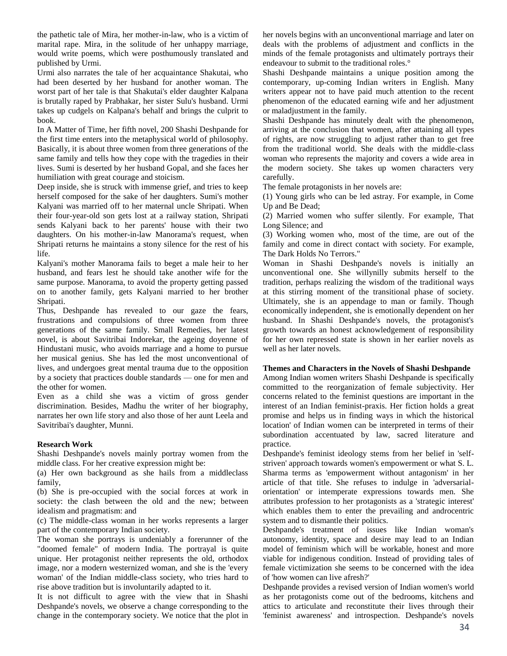the pathetic tale of Mira, her mother-in-law, who is a victim of marital rape. Mira, in the solitude of her unhappy marriage, would write poems, which were posthumously translated and published by Urmi.

Urmi also narrates the tale of her acquaintance Shakutai, who had been deserted by her husband for another woman. The worst part of her tale is that Shakutai's elder daughter Kalpana is brutally raped by Prabhakar, her sister Sulu's husband. Urmi takes up cudgels on Kalpana's behalf and brings the culprit to book.

In A Matter of Time, her fifth novel, 200 Shashi Deshpande for the first time enters into the metaphysical world of philosophy. Basically, it is about three women from three generations of the same family and tells how they cope with the tragedies in their lives. Sumi is deserted by her husband Gopal, and she faces her humiliation with great courage and stoicism.

Deep inside, she is struck with immense grief, and tries to keep herself composed for the sake of her daughters. Sumi's mother Kalyani was married off to her maternal uncle Shripati. When their four-year-old son gets lost at a railway station, Shripati sends Kalyani back to her parents' house with their two daughters. On his mother-in-law Manorama's request, when Shripati returns he maintains a stony silence for the rest of his life.

Kalyani's mother Manorama fails to beget a male heir to her husband, and fears lest he should take another wife for the same purpose. Manorama, to avoid the property getting passed on to another family, gets Kalyani married to her brother Shripati.

Thus, Deshpande has revealed to our gaze the fears, frustrations and compulsions of three women from three generations of the same family. Small Remedies, her latest novel, is about Savitribai Indorekar, the ageing doyenne of Hindustani music, who avoids marriage and a home to pursue her musical genius. She has led the most unconventional of lives, and undergoes great mental trauma due to the opposition by a society that practices double standards — one for men and the other for women.

Even as a child she was a victim of gross gender discrimination. Besides, Madhu the writer of her biography, narrates her own life story and also those of her aunt Leela and Savitribai's daughter, Munni.

#### **Research Work**

Shashi Deshpande's novels mainly portray women from the middle class. For her creative expression might be:

(a) Her own background as she hails from a middleclass family,

(b) She is pre-occupied with the social forces at work in society: the clash between the old and the new; between idealism and pragmatism: and

(c) The middle-class woman in her works represents a larger part of the contemporary Indian society.

The woman she portrays is undeniably a forerunner of the "doomed female" of modern India. The portrayal is quite unique. Her protagonist neither represents the old, orthodox image, nor a modern westernized woman, and she is the 'every woman' of the Indian middle-class society, who tries hard to rise above tradition but is involuntarily adapted to it.

It is not difficult to agree with the view that in Shashi Deshpande's novels, we observe a change corresponding to the change in the contemporary society. We notice that the plot in her novels begins with an unconventional marriage and later on deals with the problems of adjustment and conflicts in the minds of the female protagonists and ultimately portrays their endeavour to submit to the traditional roles.°

Shashi Deshpande maintains a unique position among the contemporary, up-coming Indian writers in English. Many writers appear not to have paid much attention to the recent phenomenon of the educated earning wife and her adjustment or maladjustment in the family.

Shashi Deshpande has minutely dealt with the phenomenon, arriving at the conclusion that women, after attaining all types of rights, are now struggling to adjust rather than to get free from the traditional world. She deals with the middle-class woman who represents the majority and covers a wide area in the modern society. She takes up women characters very carefully.

The female protagonists in her novels are:

(1) Young girls who can be led astray. For example, in Come Up and Be Dead;

(2) Married women who suffer silently. For example, That Long Silence; and

(3) Working women who, most of the time, are out of the family and come in direct contact with society. For example, The Dark Holds No Terrors."

Woman in Shashi Deshpande's novels is initially an unconventional one. She willynilly submits herself to the tradition, perhaps realizing the wisdom of the traditional ways at this stirring moment of the transitional phase of society. Ultimately, she is an appendage to man or family. Though economically independent, she is emotionally dependent on her husband. In Shashi Deshpande's novels, the protagonist's growth towards an honest acknowledgement of responsibility for her own repressed state is shown in her earlier novels as well as her later novels.

### **Themes and Characters in the Novels of Shashi Deshpande**

Among Indian women writers Shashi Deshpande is specifically committed to the reorganization of female subjectivity. Her concerns related to the feminist questions are important in the interest of an Indian feminist-praxis. Her fiction holds a great promise and helps us in finding ways in which the historical location' of Indian women can be interpreted in terms of their subordination accentuated by law, sacred literature and practice.

Deshpande's feminist ideology stems from her belief in 'selfstriven' approach towards women's empowerment or what S. L. Sharma terms as 'empowerment without antagonism' in her article of that title. She refuses to indulge in 'adversarialorientation' or intemperate expressions towards men. She attributes profession to her protagonists as a 'strategic interest' which enables them to enter the prevailing and androcentric system and to dismantle their politics.

Deshpande's treatment of issues like Indian woman's autonomy, identity, space and desire may lead to an Indian model of feminism which will be workable, honest and more viable for indigenous condition. Instead of providing tales of female victimization she seems to be concerned with the idea of 'how women can live afresh?'

Deshpande provides a revised version of Indian women's world as her protagonists come out of the bedrooms, kitchens and attics to articulate and reconstitute their lives through their 'feminist awareness' and introspection. Deshpande's novels